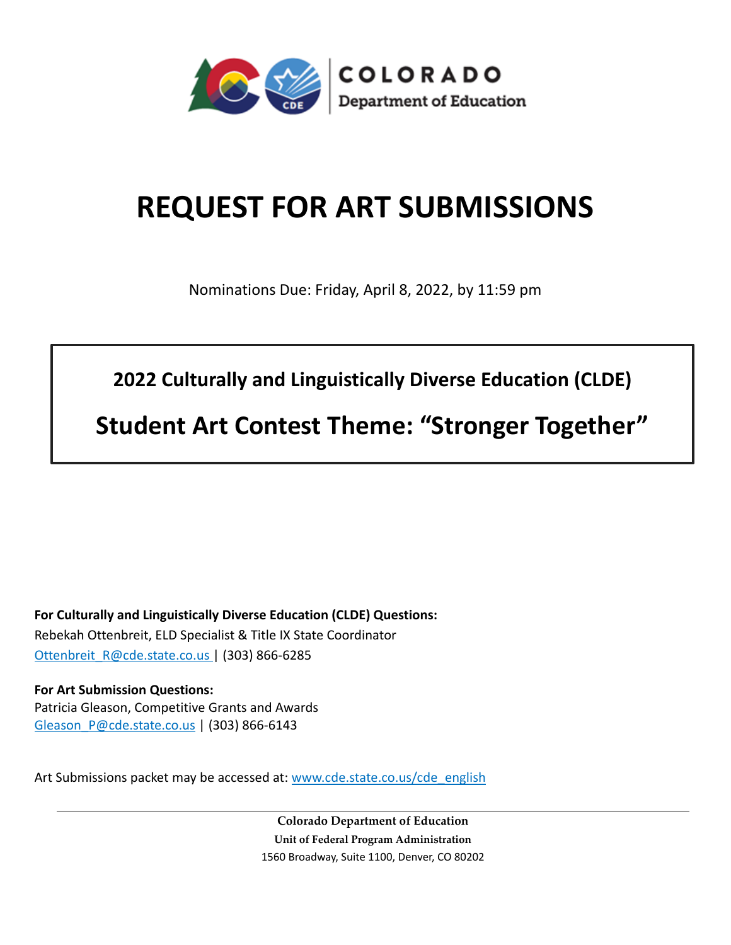

# **REQUEST FOR ART SUBMISSIONS**

Nominations Due: Friday, April 8, 2022, by 11:59 pm

**2022 Culturally and Linguistically Diverse Education (CLDE)**

**Student Art Contest Theme: "Stronger Together"**

**For Culturally and Linguistically Diverse Education (CLDE) Questions:**  Rebekah Ottenbreit, ELD Specialist & Title IX State Coordinator [Ottenbreit\\_R@cde.state.co.us](mailto:Ottenbreit_R@cde.state.co.us) | (303) 866-6285

**For Art Submission Questions:**  Patricia Gleason, Competitive Grants and Awards [Gleason\\_P@cde.state.co.us](mailto:Gleason_P@cde.state.co.us) | (303) 866-6143

Art Submissions packet may be accessed at: [www.cde.state.co.us/cde\\_english](http://www.cde.state.co.us/cde_english)

**Colorado Department of Education Unit of Federal Program Administration** 1560 Broadway, Suite 1100, Denver, CO 80202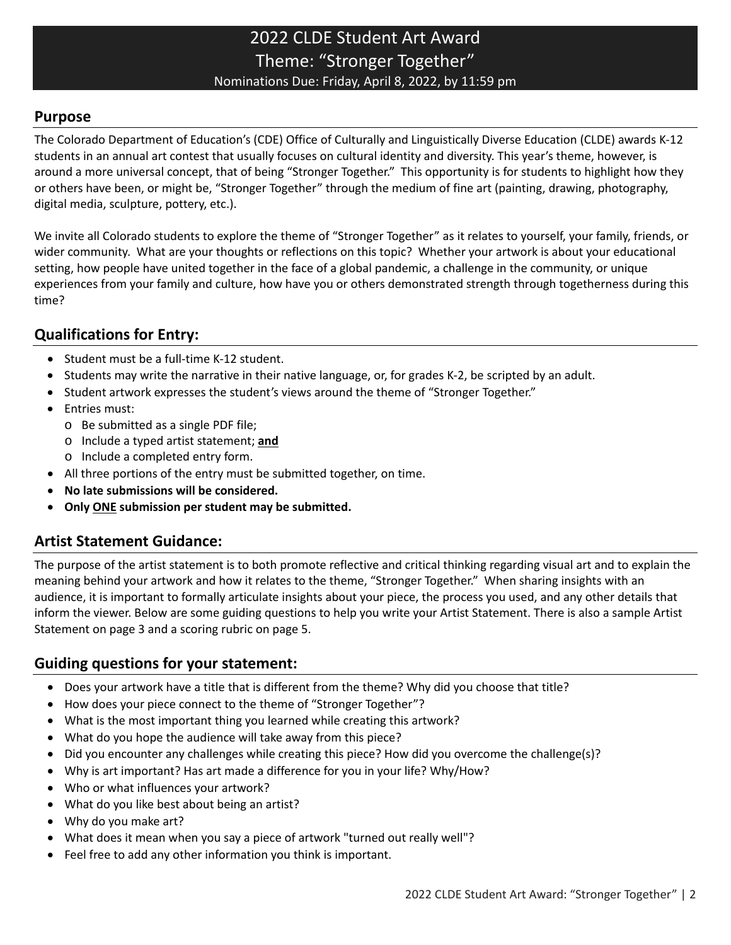## 2022 CLDE Student Art Award Theme: "Stronger Together" Nominations Due: Friday, April 8, 2022, by 11:59 pm

#### **Purpose**

The Colorado Department of Education's (CDE) Office of Culturally and Linguistically Diverse Education (CLDE) awards K-12 students in an annual art contest that usually focuses on cultural identity and diversity. This year's theme, however, is around a more universal concept, that of being "Stronger Together." This opportunity is for students to highlight how they or others have been, or might be, "Stronger Together" through the medium of fine art (painting, drawing, photography, digital media, sculpture, pottery, etc.).

We invite all Colorado students to explore the theme of "Stronger Together" as it relates to yourself, your family, friends, or wider community. What are your thoughts or reflections on this topic? Whether your artwork is about your educational setting, how people have united together in the face of a global pandemic, a challenge in the community, or unique experiences from your family and culture, how have you or others demonstrated strength through togetherness during this time?

## **Qualifications for Entry:**

- Student must be a full-time K-12 student.
- Students may write the narrative in their native language, or, for grades K-2, be scripted by an adult.
- Student artwork expresses the student's views around the theme of "Stronger Together."
- Entries must:
	- o Be submitted as a single PDF file;
	- o Include a typed artist statement; **and**
	- o Include a completed entry form.
- All three portions of the entry must be submitted together, on time.
- **No late submissions will be considered.**
- **Only ONE submission per student may be submitted.**

### **Artist Statement Guidance:**

The purpose of the artist statement is to both promote reflective and critical thinking regarding visual art and to explain the meaning behind your artwork and how it relates to the theme, "Stronger Together." When sharing insights with an audience, it is important to formally articulate insights about your piece, the process you used, and any other details that inform the viewer. Below are some guiding questions to help you write your Artist Statement. There is also a sample Artist Statement on page 3 and a scoring rubric on page 5.

### **Guiding questions for your statement:**

- Does your artwork have a title that is different from the theme? Why did you choose that title?
- How does your piece connect to the theme of "Stronger Together"?
- What is the most important thing you learned while creating this artwork?
- What do you hope the audience will take away from this piece?
- Did you encounter any challenges while creating this piece? How did you overcome the challenge(s)?
- Why is art important? Has art made a difference for you in your life? Why/How?
- Who or what influences your artwork?
- What do you like best about being an artist?
- Why do you make art?
- What does it mean when you say a piece of artwork "turned out really well"?
- Feel free to add any other information you think is important.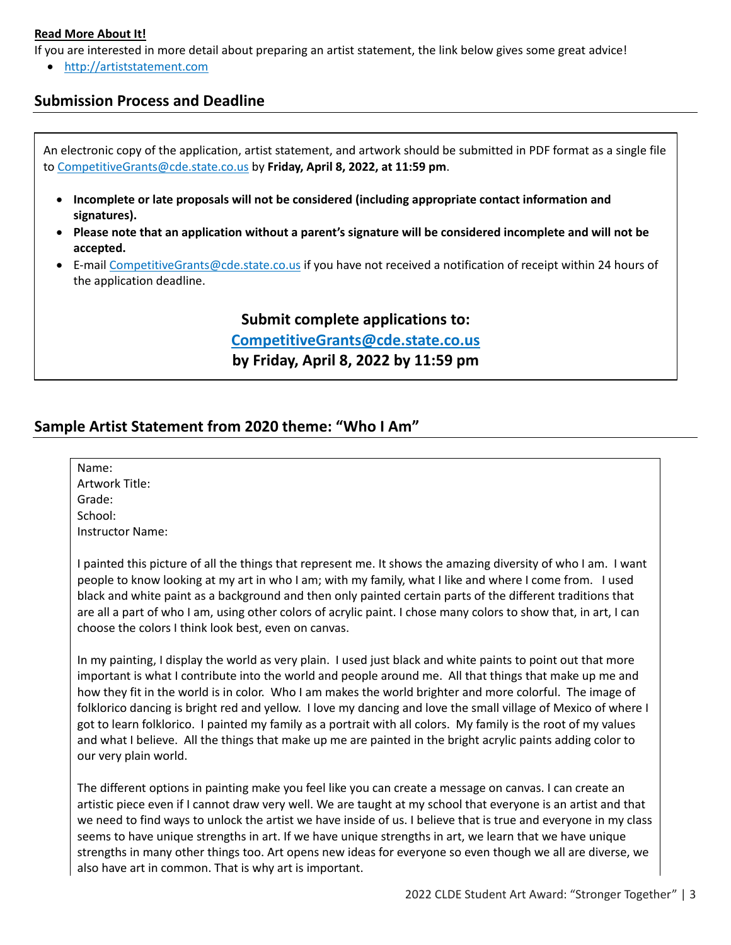#### **Read More About It!**

If you are interested in more detail about preparing an artist statement, the link below gives some great advice!

• [http://artiststatement.com](http://artiststatement.com/)

#### **Submission Process and Deadline**

An electronic copy of the application, artist statement, and artwork should be submitted in PDF format as a single file to [CompetitiveGrants@cde.state.co.us](mailto:CompetitiveGrants@cde.state.co.us) by **Friday, April 8, 2022, at 11:59 pm**.

- **Incomplete or late proposals will not be considered (including appropriate contact information and signatures).**
- **Please note that an application without a parent's signature will be considered incomplete and will not be accepted.**
- E-mai[l CompetitiveGrants@cde.state.co.us](mailto:CompetitiveGrants@cde.state.co.us) if you have not received a notification of receipt within 24 hours of the application deadline.

**Submit complete applications to: [CompetitiveGrants@cde.state.co.us](mailto:CompetitiveGrants@cde.state.co.us) by Friday, April 8, 2022 by 11:59 pm**

#### **Sample Artist Statement from 2020 theme: "Who I Am"**

| Name:            |                                                                                                                                                                                                                                                                                                                                                                                                                                                                                                                                                                                                                                                                                                                 |
|------------------|-----------------------------------------------------------------------------------------------------------------------------------------------------------------------------------------------------------------------------------------------------------------------------------------------------------------------------------------------------------------------------------------------------------------------------------------------------------------------------------------------------------------------------------------------------------------------------------------------------------------------------------------------------------------------------------------------------------------|
| Artwork Title:   |                                                                                                                                                                                                                                                                                                                                                                                                                                                                                                                                                                                                                                                                                                                 |
| Grade:           |                                                                                                                                                                                                                                                                                                                                                                                                                                                                                                                                                                                                                                                                                                                 |
| School:          |                                                                                                                                                                                                                                                                                                                                                                                                                                                                                                                                                                                                                                                                                                                 |
| Instructor Name: |                                                                                                                                                                                                                                                                                                                                                                                                                                                                                                                                                                                                                                                                                                                 |
|                  | I painted this picture of all the things that represent me. It shows the amazing diversity of who I am. I want<br>people to know looking at my art in who I am; with my family, what I like and where I come from. I used<br>black and white paint as a background and then only painted certain parts of the different traditions that<br>are all a part of who I am, using other colors of acrylic paint. I chose many colors to show that, in art, I can<br>choose the colors I think look best, even on canvas.                                                                                                                                                                                             |
|                  | In my painting, I display the world as very plain. I used just black and white paints to point out that more<br>important is what I contribute into the world and people around me. All that things that make up me and<br>how they fit in the world is in color. Who I am makes the world brighter and more colorful. The image of<br>folklorico dancing is bright red and yellow. I love my dancing and love the small village of Mexico of where I<br>got to learn folklorico. I painted my family as a portrait with all colors. My family is the root of my values<br>and what I believe. All the things that make up me are painted in the bright acrylic paints adding color to<br>our very plain world. |
|                  | The different options in painting make you feel like you can create a message on canvas. I can create an<br>artistic piece even if I cannot draw very well. We are taught at my school that everyone is an artist and that<br>we need to find ways to unlock the artist we have inside of us. I believe that is true and everyone in my class<br>seems to have unique strengths in art. If we have unique strengths in art, we learn that we have unique<br>strengths in many other things too. Art opens new ideas for everyone so even though we all are diverse, we<br>also have art in common. That is why art is important.                                                                                |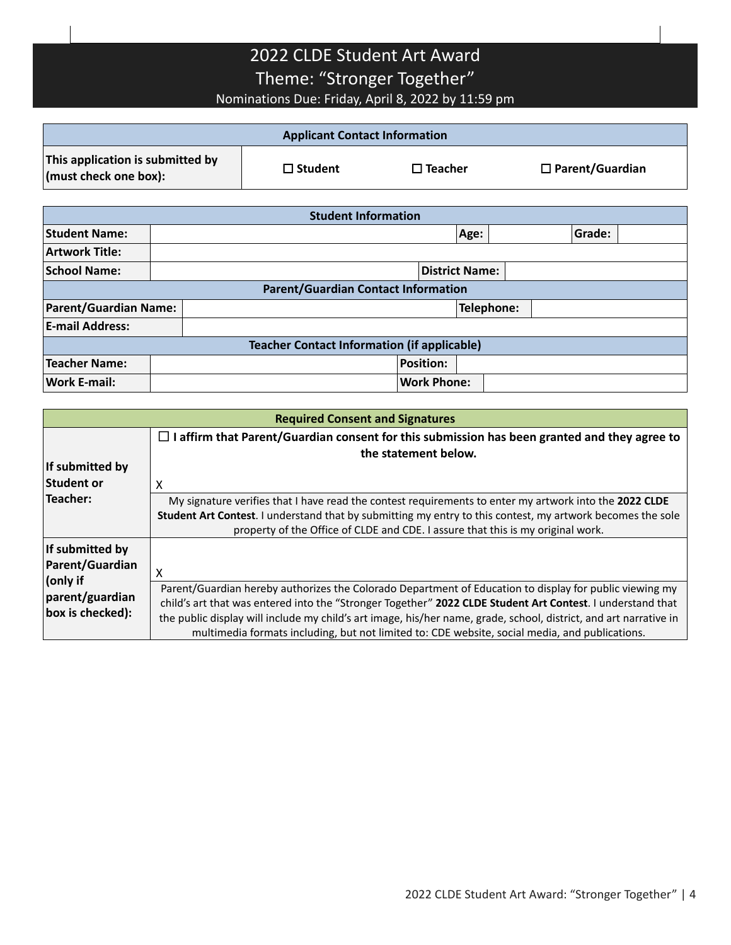## 2022 CLDE Student Art Award Theme: "Stronger Together" Nominations Due: Friday, April 8, 2022 by 11:59 pm

| <b>Applicant Contact Information</b>                      |                       |                   |                   |            |  |                        |  |  |  |
|-----------------------------------------------------------|-----------------------|-------------------|-------------------|------------|--|------------------------|--|--|--|
| This application is submitted by<br>(must check one box): |                       | $\square$ Student | $\square$ Teacher |            |  | $\Box$ Parent/Guardian |  |  |  |
|                                                           |                       |                   |                   |            |  |                        |  |  |  |
| <b>Student Information</b>                                |                       |                   |                   |            |  |                        |  |  |  |
| <b>Student Name:</b>                                      |                       |                   |                   | Age:       |  | Grade:                 |  |  |  |
| <b>Artwork Title:</b>                                     |                       |                   |                   |            |  |                        |  |  |  |
| <b>School Name:</b>                                       | <b>District Name:</b> |                   |                   |            |  |                        |  |  |  |
| <b>Parent/Guardian Contact Information</b>                |                       |                   |                   |            |  |                        |  |  |  |
| <b>Parent/Guardian Name:</b>                              |                       |                   |                   | Telephone: |  |                        |  |  |  |
| <b>E-mail Address:</b>                                    |                       |                   |                   |            |  |                        |  |  |  |
| <b>Teacher Contact Information (if applicable)</b>        |                       |                   |                   |            |  |                        |  |  |  |
| <b>Teacher Name:</b>                                      |                       |                   | <b>Position:</b>  |            |  |                        |  |  |  |
| <b>Work E-mail:</b>                                       | <b>Work Phone:</b>    |                   |                   |            |  |                        |  |  |  |

| <b>Required Consent and Signatures</b>          |                                                                                                                                                                                                                                                                                                                                                                                                                                              |  |  |  |  |  |  |
|-------------------------------------------------|----------------------------------------------------------------------------------------------------------------------------------------------------------------------------------------------------------------------------------------------------------------------------------------------------------------------------------------------------------------------------------------------------------------------------------------------|--|--|--|--|--|--|
| If submitted by<br><b>Student or</b>            | $\Box$ I affirm that Parent/Guardian consent for this submission has been granted and they agree to<br>the statement below.<br>X                                                                                                                                                                                                                                                                                                             |  |  |  |  |  |  |
| Teacher:                                        | My signature verifies that I have read the contest requirements to enter my artwork into the 2022 CLDE<br>Student Art Contest. I understand that by submitting my entry to this contest, my artwork becomes the sole<br>property of the Office of CLDE and CDE. I assure that this is my original work.                                                                                                                                      |  |  |  |  |  |  |
| If submitted by<br>Parent/Guardian              | x                                                                                                                                                                                                                                                                                                                                                                                                                                            |  |  |  |  |  |  |
| (only if<br>parent/guardian<br>box is checked): | Parent/Guardian hereby authorizes the Colorado Department of Education to display for public viewing my<br>child's art that was entered into the "Stronger Together" 2022 CLDE Student Art Contest. I understand that<br>the public display will include my child's art image, his/her name, grade, school, district, and art narrative in<br>multimedia formats including, but not limited to: CDE website, social media, and publications. |  |  |  |  |  |  |